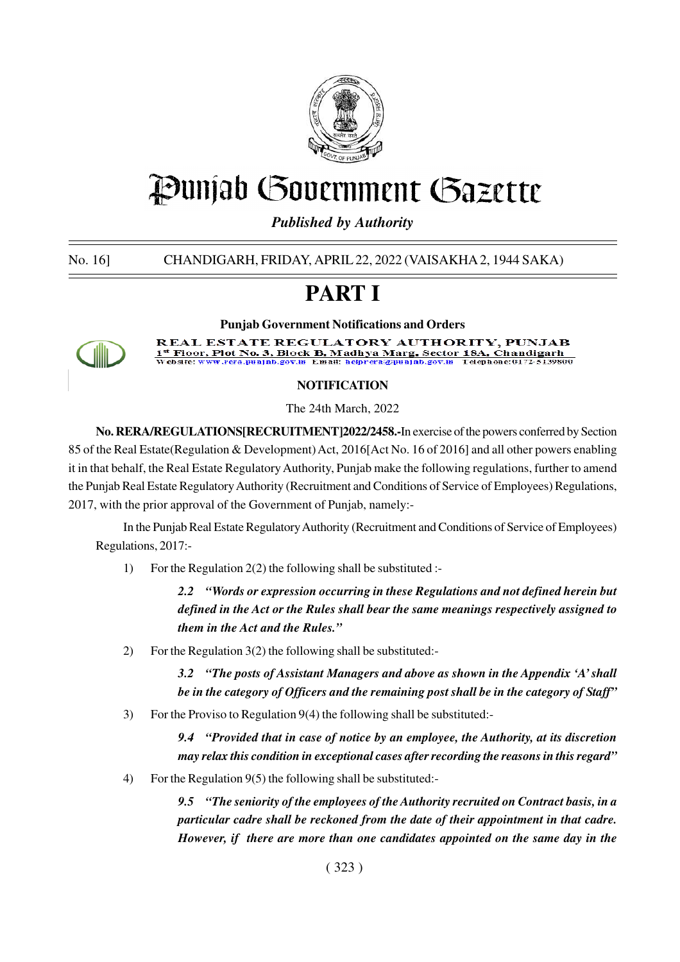

# Punjab Government Gazette

*Published by Authority*

No. 16] CHANDIGARH, FRIDAY, APRIL 22, 2022 (VAISAKHA 2, 1944 SAKA)

# **PART I**



**Punjab Government Notifications and Orders** REAL ESTATE REGULATORY AUTHORITY, PUNJAB <sup>\*</sup> Floor, Plot No. 3, Block B, Madhya Marg, Sector 18A, Chandigarh<br>|cbsite: www.rera.punjab.gov.in Email: helprera@punjab.gov.in Telephone:0172-5139800

# **NOTIFICATION**

The 24th March, 2022

**No. RERA/REGULATIONS[RECRUITMENT]2022/2458.-**In exercise of the powers conferred by Section 85 of the Real Estate(Regulation & Development) Act, 2016[Act No. 16 of 2016] and all other powers enabling it in that behalf, the Real Estate Regulatory Authority, Punjab make the following regulations, further to amend the Punjab Real Estate Regulatory Authority (Recruitment and Conditions of Service of Employees) Regulations, 2017, with the prior approval of the Government of Punjab, namely:-

In the Punjab Real Estate Regulatory Authority (Recruitment and Conditions of Service of Employees) Regulations, 2017:-

1) For the Regulation 2(2) the following shall be substituted :-

*2.2 "Words or expression occurring in these Regulations and not defined herein but defined in the Act or the Rules shall bear the same meanings respectively assigned to them in the Act and the Rules."*

2) For the Regulation 3(2) the following shall be substituted:-

*3.2 "The posts of Assistant Managers and above as shown in the Appendix 'A' shall be in the category of Officers and the remaining post shall be in the category of Staff"*

3) For the Proviso to Regulation 9(4) the following shall be substituted:-

*9.4 "Provided that in case of notice by an employee, the Authority, at its discretion may relax this condition in exceptional cases after recording the reasons in this regard"*

4) For the Regulation 9(5) the following shall be substituted:-

*9.5 "The seniority of the employees of the Authority recruited on Contract basis, in a particular cadre shall be reckoned from the date of their appointment in that cadre. However, if there are more than one candidates appointed on the same day in the*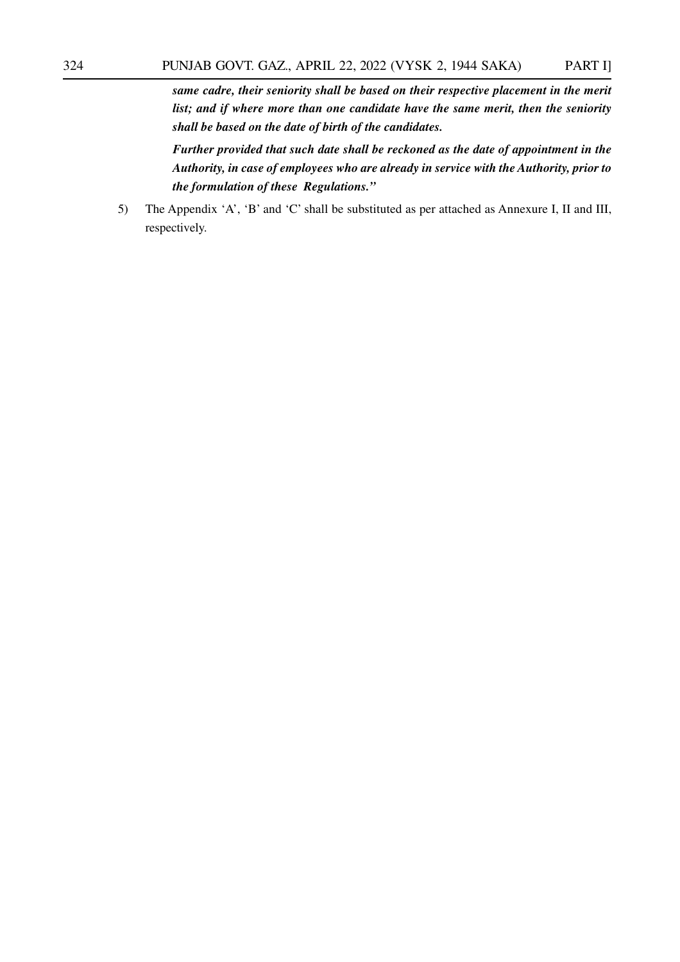*same cadre, their seniority shall be based on their respective placement in the merit list; and if where more than one candidate have the same merit, then the seniority shall be based on the date of birth of the candidates.*

*Further provided that such date shall be reckoned as the date of appointment in the Authority, in case of employees who are already in service with the Authority, prior to the formulation of these Regulations."*

5) The Appendix 'A', 'B' and 'C' shall be substituted as per attached as Annexure I, II and III, respectively.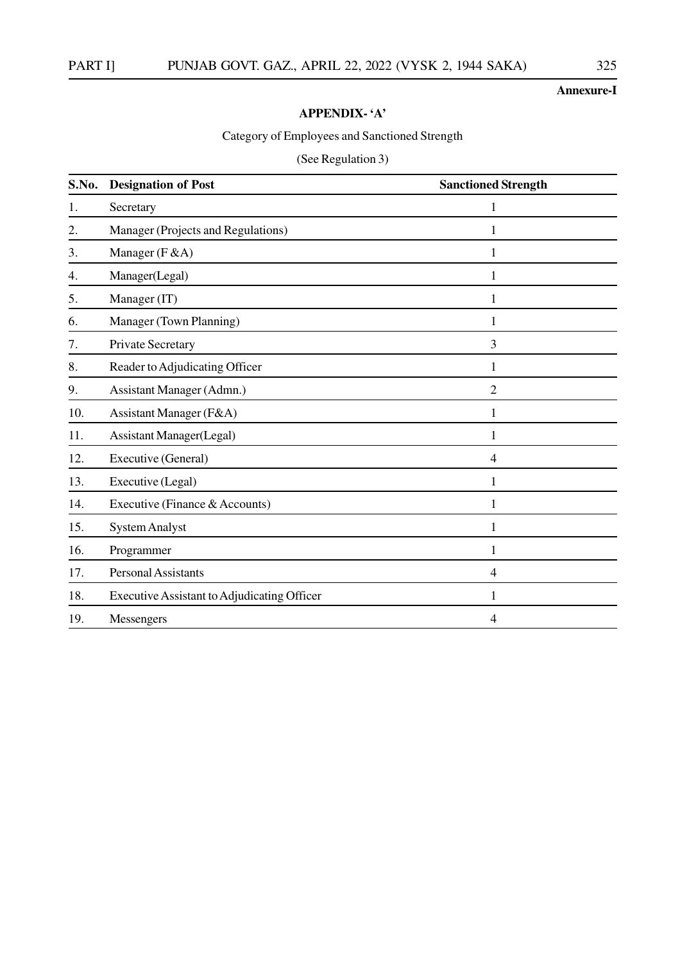## **Annexure-I**

# **APPENDIX- 'A'**

# Category of Employees and Sanctioned Strength

# (See Regulation 3)

| S.No. | <b>Designation of Post</b>                         | <b>Sanctioned Strength</b> |
|-------|----------------------------------------------------|----------------------------|
| 1.    | Secretary                                          |                            |
| 2.    | Manager (Projects and Regulations)                 | 1                          |
| 3.    | Manager (F & A)                                    | 1                          |
| 4.    | Manager(Legal)                                     | 1                          |
| 5.    | Manager (IT)                                       | 1                          |
| 6.    | Manager (Town Planning)                            | $\mathbf{1}$               |
| 7.    | Private Secretary                                  | 3                          |
| 8.    | Reader to Adjudicating Officer                     | 1                          |
| 9.    | Assistant Manager (Admn.)                          | $\overline{2}$             |
| 10.   | Assistant Manager (F&A)                            | 1                          |
| 11.   | <b>Assistant Manager(Legal)</b>                    | 1                          |
| 12.   | Executive (General)                                | 4                          |
| 13.   | Executive (Legal)                                  | 1                          |
| 14.   | Executive (Finance & Accounts)                     | 1                          |
| 15.   | <b>System Analyst</b>                              | $\mathbf{1}$               |
| 16.   | Programmer                                         | 1                          |
| 17.   | <b>Personal Assistants</b>                         | $\overline{4}$             |
| 18.   | <b>Executive Assistant to Adjudicating Officer</b> | 1                          |
| 19.   | Messengers                                         | 4                          |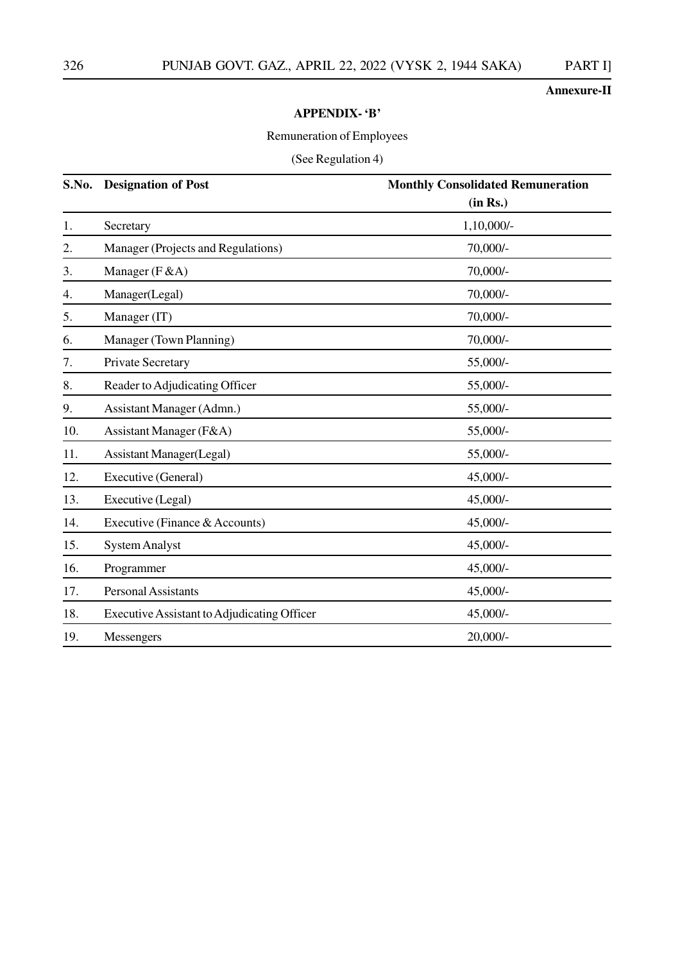# **Annexure-II**

#### **APPENDIX- 'B'**

# Remuneration of Employees

# (See Regulation 4)

| S.No. | <b>Designation of Post</b>                         | <b>Monthly Consolidated Remuneration</b> |
|-------|----------------------------------------------------|------------------------------------------|
|       |                                                    | (in Rs.)                                 |
| 1.    | Secretary                                          | 1,10,000/-                               |
| 2.    | Manager (Projects and Regulations)                 | 70,000/-                                 |
| 3.    | Manager $(F & A)$                                  | 70,000/-                                 |
| 4.    | Manager(Legal)                                     | 70,000/-                                 |
| 5.    | Manager (IT)                                       | 70,000/-                                 |
| 6.    | Manager (Town Planning)                            | 70,000/-                                 |
| 7.    | Private Secretary                                  | 55,000/-                                 |
| 8.    | Reader to Adjudicating Officer                     | 55,000/-                                 |
| 9.    | Assistant Manager (Admn.)                          | 55,000/-                                 |
| 10.   | Assistant Manager (F&A)                            | 55,000/-                                 |
| 11.   | <b>Assistant Manager</b> (Legal)                   | 55,000/-                                 |
| 12.   | Executive (General)                                | 45,000/-                                 |
| 13.   | Executive (Legal)                                  | 45,000/-                                 |
| 14.   | Executive (Finance & Accounts)                     | 45,000/-                                 |
| 15.   | <b>System Analyst</b>                              | 45,000/-                                 |
| 16.   | Programmer                                         | 45,000/-                                 |
| 17.   | <b>Personal Assistants</b>                         | 45,000/-                                 |
| 18.   | <b>Executive Assistant to Adjudicating Officer</b> | 45,000/-                                 |
| 19.   | Messengers                                         | $20,000/$ -                              |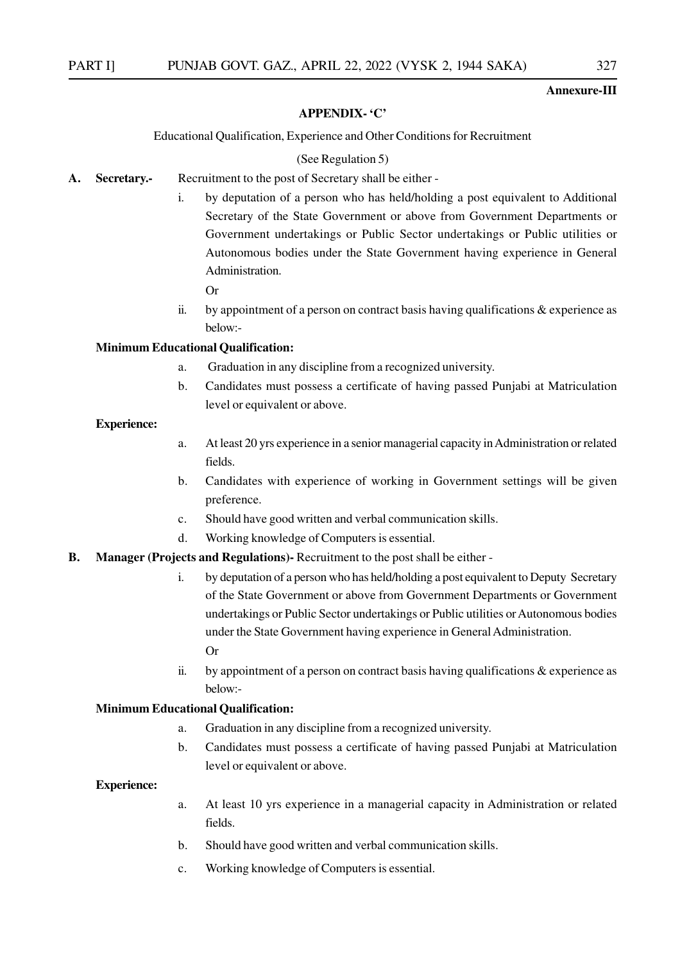#### **Annexure-III**

#### **APPENDIX- 'C'**

#### Educational Qualification, Experience and Other Conditions for Recruitment

#### (See Regulation 5)

- **A. Secretary.-** Recruitment to the post of Secretary shall be either
	- i. by deputation of a person who has held/holding a post equivalent to Additional Secretary of the State Government or above from Government Departments or Government undertakings or Public Sector undertakings or Public utilities or Autonomous bodies under the State Government having experience in General Administration.

Or

ii. by appointment of a person on contract basis having qualifications  $\&$  experience as below:-

#### **Minimum Educational Qualification:**

- a. Graduation in any discipline from a recognized university.
- b. Candidates must possess a certificate of having passed Punjabi at Matriculation level or equivalent or above.

#### **Experience:**

- a. At least 20 yrs experience in a senior managerial capacity in Administration or related fields.
- b. Candidates with experience of working in Government settings will be given preference.
- c. Should have good written and verbal communication skills.
- d. Working knowledge of Computers is essential.

#### **B. Manager (Projects and Regulations)-** Recruitment to the post shall be either -

- i. by deputation of a person who has held/holding a post equivalent to Deputy Secretary of the State Government or above from Government Departments or Government undertakings or Public Sector undertakings or Public utilities or Autonomous bodies under the State Government having experience in General Administration. Or
- ii. by appointment of a person on contract basis having qualifications  $\&$  experience as below:-

#### **Minimum Educational Qualification:**

- a. Graduation in any discipline from a recognized university.
- b. Candidates must possess a certificate of having passed Punjabi at Matriculation level or equivalent or above.

#### **Experience:**

- a. At least 10 yrs experience in a managerial capacity in Administration or related fields.
- b. Should have good written and verbal communication skills.
- c. Working knowledge of Computers is essential.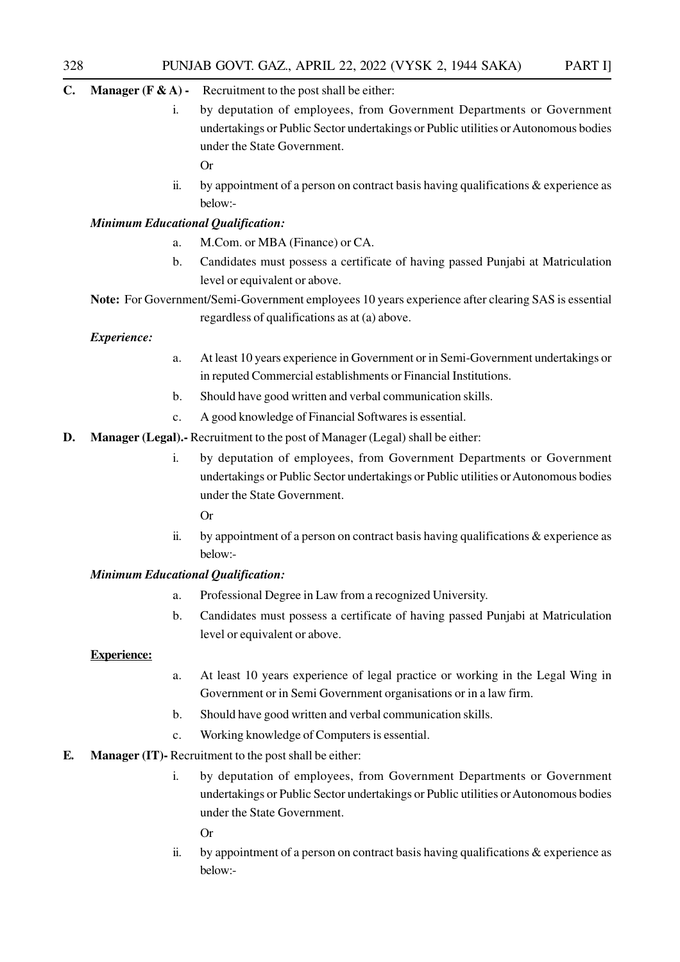# **C. Manager (F & A) -** Recruitment to the post shall be either:

i. by deputation of employees, from Government Departments or Government undertakings or Public Sector undertakings or Public utilities or Autonomous bodies under the State Government.

Or

ii. by appointment of a person on contract basis having qualifications & experience as below:-

#### *Minimum Educational Qualification:*

- a. M.Com. or MBA (Finance) or CA.
- b. Candidates must possess a certificate of having passed Punjabi at Matriculation level or equivalent or above.
- **Note:** For Government/Semi-Government employees 10 years experience after clearing SAS is essential

regardless of qualifications as at (a) above.

## *Experience:*

- a. At least 10 years experience in Government or in Semi-Government undertakings or in reputed Commercial establishments or Financial Institutions.
- b. Should have good written and verbal communication skills.
- c. A good knowledge of Financial Softwares is essential.
- **D. Manager (Legal).-** Recruitment to the post of Manager (Legal) shall be either:
	- i. by deputation of employees, from Government Departments or Government undertakings or Public Sector undertakings or Public utilities or Autonomous bodies under the State Government.
		- Or
	- ii. by appointment of a person on contract basis having qualifications  $\&$  experience as below:-

#### *Minimum Educational Qualification:*

- a. Professional Degree in Law from a recognized University.
- b. Candidates must possess a certificate of having passed Punjabi at Matriculation level or equivalent or above.

#### **Experience:**

- a. At least 10 years experience of legal practice or working in the Legal Wing in Government or in Semi Government organisations or in a law firm.
- b. Should have good written and verbal communication skills.
- c. Working knowledge of Computers is essential.
- **E. Manager (IT)-** Recruitment to the post shall be either:
	- i. by deputation of employees, from Government Departments or Government undertakings or Public Sector undertakings or Public utilities or Autonomous bodies under the State Government.

Or

ii. by appointment of a person on contract basis having qualifications  $\&$  experience as below:-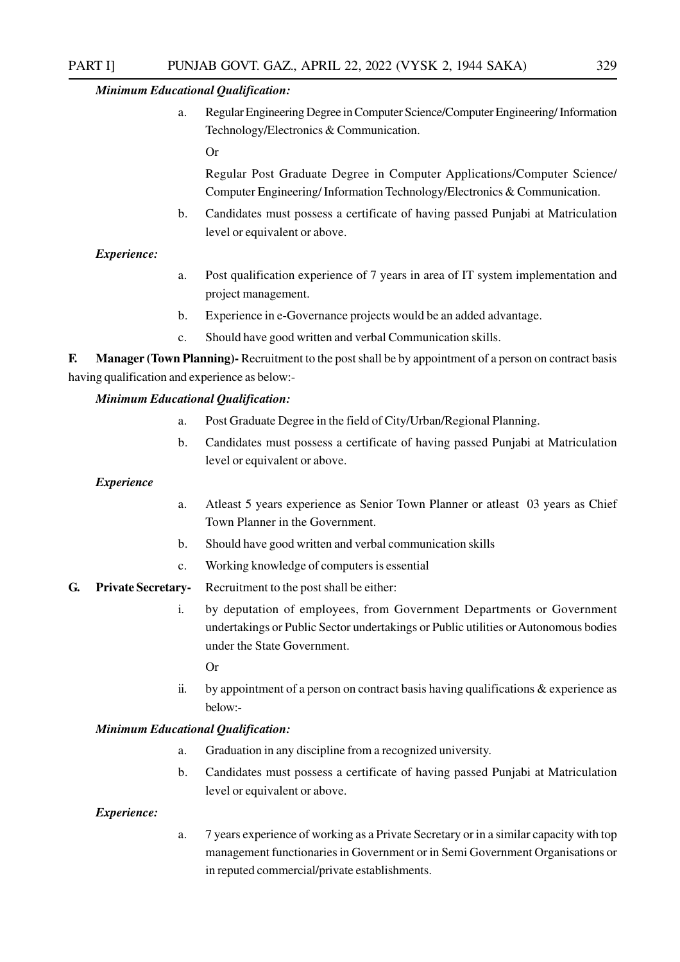#### *Minimum Educational Qualification:*

a. Regular Engineering Degree in Computer Science/Computer Engineering/ Information Technology/Electronics & Communication.

Or

Regular Post Graduate Degree in Computer Applications/Computer Science/ Computer Engineering/ Information Technology/Electronics & Communication.

b. Candidates must possess a certificate of having passed Punjabi at Matriculation level or equivalent or above.

#### *Experience:*

- a. Post qualification experience of 7 years in area of IT system implementation and project management.
- b. Experience in e-Governance projects would be an added advantage.
- c. Should have good written and verbal Communication skills.

**F. Manager (Town Planning)-** Recruitment to the post shall be by appointment of a person on contract basis having qualification and experience as below:-

#### *Minimum Educational Qualification:*

- a. Post Graduate Degree in the field of City/Urban/Regional Planning.
- b. Candidates must possess a certificate of having passed Punjabi at Matriculation level or equivalent or above.

#### *Experience*

- a. Atleast 5 years experience as Senior Town Planner or atleast 03 years as Chief Town Planner in the Government.
- b. Should have good written and verbal communication skills
- c. Working knowledge of computers is essential
- **G. Private Secretary-** Recruitment to the post shall be either:
	- i. by deputation of employees, from Government Departments or Government undertakings or Public Sector undertakings or Public utilities or Autonomous bodies under the State Government.
		- Or
	- ii. by appointment of a person on contract basis having qualifications  $\&$  experience as below:-

#### *Minimum Educational Qualification:*

- a. Graduation in any discipline from a recognized university.
- b. Candidates must possess a certificate of having passed Punjabi at Matriculation level or equivalent or above.

#### *Experience:*

a. 7 years experience of working as a Private Secretary or in a similar capacity with top management functionaries in Government or in Semi Government Organisations or in reputed commercial/private establishments.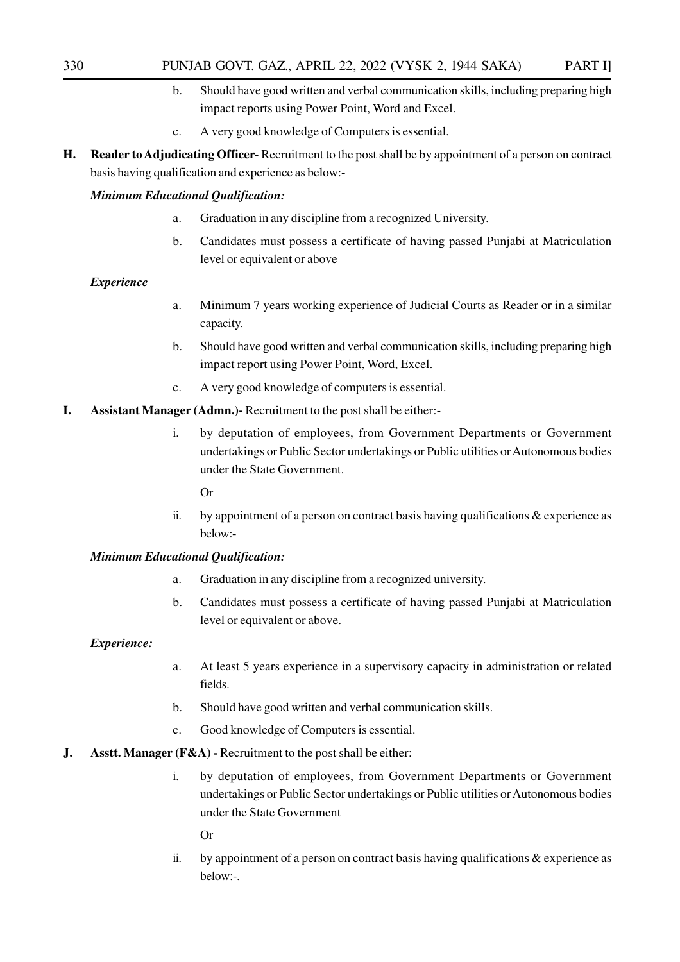- b. Should have good written and verbal communication skills, including preparing high impact reports using Power Point, Word and Excel.
- c. A very good knowledge of Computers is essential.
- **H. Reader to Adjudicating Officer-** Recruitment to the post shall be by appointment of a person on contract basis having qualification and experience as below:-

#### *Minimum Educational Qualification:*

- a. Graduation in any discipline from a recognized University.
- b. Candidates must possess a certificate of having passed Punjabi at Matriculation level or equivalent or above

#### *Experience*

- a. Minimum 7 years working experience of Judicial Courts as Reader or in a similar capacity.
- b. Should have good written and verbal communication skills, including preparing high impact report using Power Point, Word, Excel.
- c. A very good knowledge of computers is essential.
- **I. Assistant Manager (Admn.)-** Recruitment to the post shall be either:
	- i. by deputation of employees, from Government Departments or Government undertakings or Public Sector undertakings or Public utilities or Autonomous bodies under the State Government.

Or

ii. by appointment of a person on contract basis having qualifications  $\&$  experience as below:-

#### *Minimum Educational Qualification:*

- a. Graduation in any discipline from a recognized university.
- b. Candidates must possess a certificate of having passed Punjabi at Matriculation level or equivalent or above.

#### *Experience:*

- a. At least 5 years experience in a supervisory capacity in administration or related fields.
- b. Should have good written and verbal communication skills.
- c. Good knowledge of Computers is essential.
- **J. Asstt. Manager (F&A) -** Recruitment to the post shall be either:
	- i. by deputation of employees, from Government Departments or Government undertakings or Public Sector undertakings or Public utilities or Autonomous bodies under the State Government

Or

ii. by appointment of a person on contract basis having qualifications  $\&$  experience as below:-.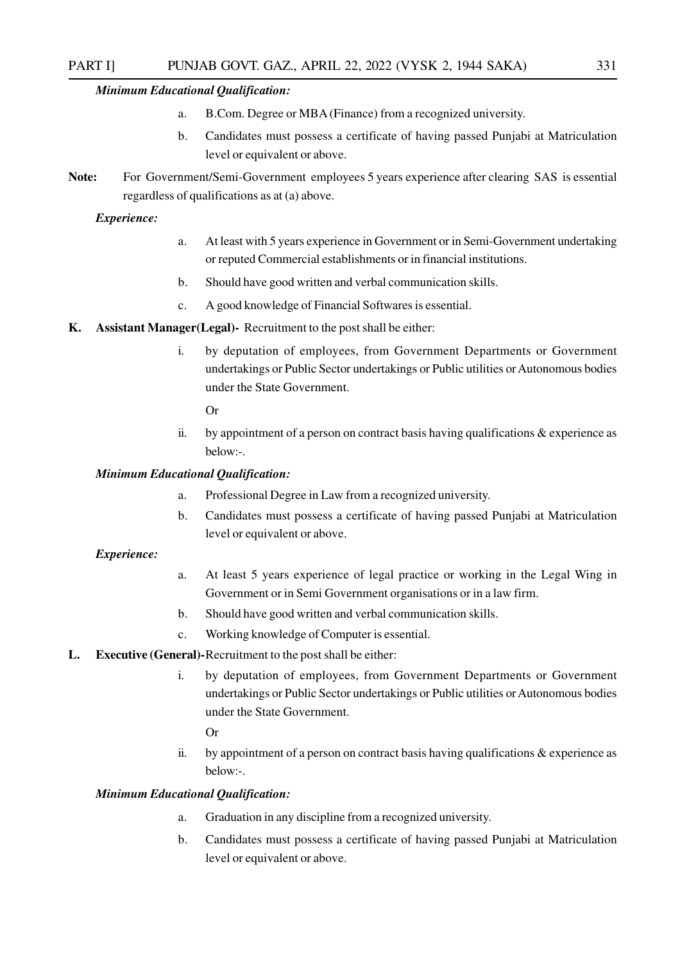#### *Minimum Educational Qualification:*

- a. B.Com. Degree or MBA (Finance) from a recognized university.
- b. Candidates must possess a certificate of having passed Punjabi at Matriculation level or equivalent or above.
- **Note:** For Government/Semi-Government employees 5 years experience after clearing SAS is essential regardless of qualifications as at (a) above.

#### *Experience:*

- a. At least with 5 years experience in Government or in Semi-Government undertaking or reputed Commercial establishments or in financial institutions.
- b. Should have good written and verbal communication skills.
- c. A good knowledge of Financial Softwares is essential.
- **K. Assistant Manager(Legal)-** Recruitment to the post shall be either:
	- i. by deputation of employees, from Government Departments or Government undertakings or Public Sector undertakings or Public utilities or Autonomous bodies under the State Government.

Or

ii. by appointment of a person on contract basis having qualifications  $\&$  experience as below:-.

#### *Minimum Educational Qualification:*

- a. Professional Degree in Law from a recognized university.
- b. Candidates must possess a certificate of having passed Punjabi at Matriculation level or equivalent or above.

#### *Experience:*

- a. At least 5 years experience of legal practice or working in the Legal Wing in Government or in Semi Government organisations or in a law firm.
- b. Should have good written and verbal communication skills.
- c. Working knowledge of Computer is essential.
- **L. Executive (General)-**Recruitment to the post shall be either:
	- i. by deputation of employees, from Government Departments or Government undertakings or Public Sector undertakings or Public utilities or Autonomous bodies under the State Government.

Or

ii. by appointment of a person on contract basis having qualifications  $\&$  experience as below:-.

#### *Minimum Educational Qualification:*

- a. Graduation in any discipline from a recognized university.
- b. Candidates must possess a certificate of having passed Punjabi at Matriculation level or equivalent or above.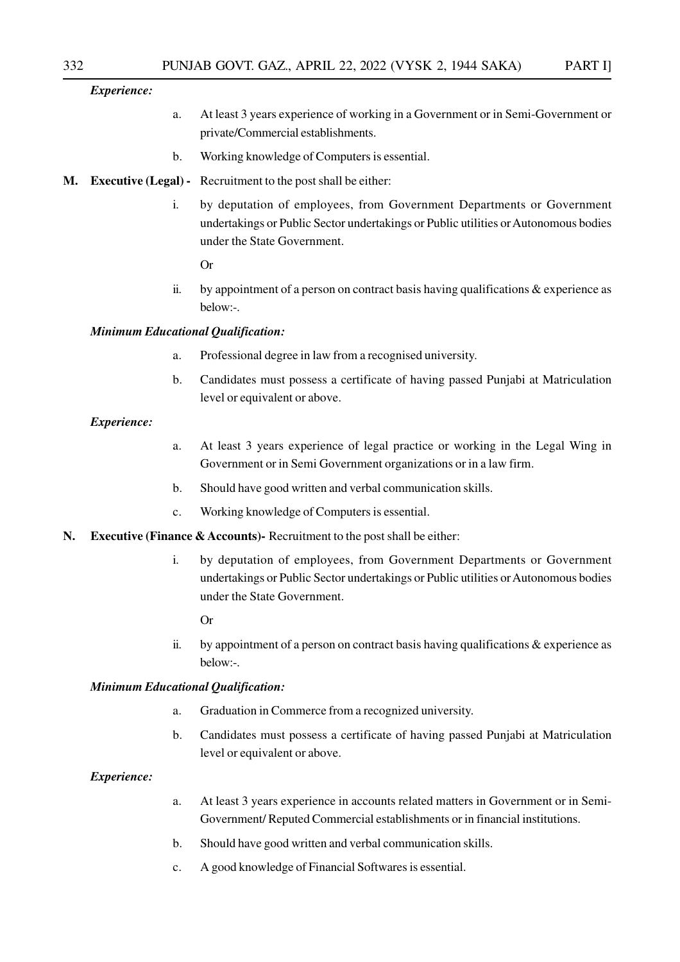#### *Experience:*

- a. At least 3 years experience of working in a Government or in Semi-Government or private/Commercial establishments.
- b. Working knowledge of Computers is essential.
- **M. Executive (Legal) -** Recruitment to the post shall be either:
	- i. by deputation of employees, from Government Departments or Government undertakings or Public Sector undertakings or Public utilities or Autonomous bodies under the State Government.

Or

ii. by appointment of a person on contract basis having qualifications  $\&$  experience as below:-.

#### *Minimum Educational Qualification:*

- a. Professional degree in law from a recognised university.
- b. Candidates must possess a certificate of having passed Punjabi at Matriculation level or equivalent or above.

#### *Experience:*

- a. At least 3 years experience of legal practice or working in the Legal Wing in Government or in Semi Government organizations or in a law firm.
- b. Should have good written and verbal communication skills.
- c. Working knowledge of Computers is essential.
- **N. Executive (Finance & Accounts)-** Recruitment to the post shall be either:
	- i. by deputation of employees, from Government Departments or Government undertakings or Public Sector undertakings or Public utilities or Autonomous bodies under the State Government.
		- Or
	- ii. by appointment of a person on contract basis having qualifications  $\&$  experience as below:-.

#### *Minimum Educational Qualification:*

- a. Graduation in Commerce from a recognized university.
- b. Candidates must possess a certificate of having passed Punjabi at Matriculation level or equivalent or above.

#### *Experience:*

- a. At least 3 years experience in accounts related matters in Government or in Semi-Government/ Reputed Commercial establishments or in financial institutions.
- b. Should have good written and verbal communication skills.
- c. A good knowledge of Financial Softwares is essential.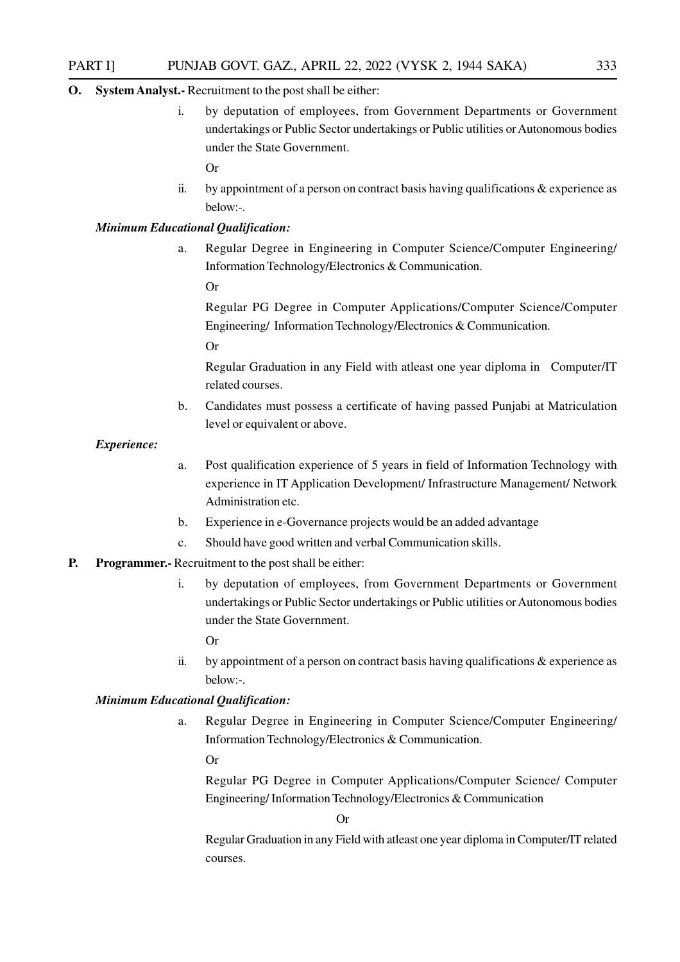#### **O. System Analyst.-** Recruitment to the post shall be either:

i. by deputation of employees, from Government Departments or Government undertakings or Public Sector undertakings or Public utilities or Autonomous bodies under the State Government.

Or

ii. by appointment of a person on contract basis having qualifications  $\&$  experience as below:-.

#### *Minimum Educational Qualification:*

a. Regular Degree in Engineering in Computer Science/Computer Engineering/ Information Technology/Electronics & Communication.

Or

Regular PG Degree in Computer Applications/Computer Science/Computer Engineering/ Information Technology/Electronics & Communication.

Or

Regular Graduation in any Field with atleast one year diploma in Computer/IT related courses.

b. Candidates must possess a certificate of having passed Punjabi at Matriculation level or equivalent or above.

*Experience:*

- a. Post qualification experience of 5 years in field of Information Technology with experience in IT Application Development/ Infrastructure Management/ Network Administration etc.
- b. Experience in e-Governance projects would be an added advantage
- c. Should have good written and verbal Communication skills.
- **P. Programmer.-** Recruitment to the post shall be either:
	- i. by deputation of employees, from Government Departments or Government undertakings or Public Sector undertakings or Public utilities or Autonomous bodies under the State Government.

Or

ii. by appointment of a person on contract basis having qualifications  $\&$  experience as below:-.

#### *Minimum Educational Qualification:*

a. Regular Degree in Engineering in Computer Science/Computer Engineering/ Information Technology/Electronics & Communication.

Or

Regular PG Degree in Computer Applications/Computer Science/ Computer Engineering/ Information Technology/Electronics & Communication

Or

Regular Graduation in any Field with atleast one year diploma in Computer/IT related courses.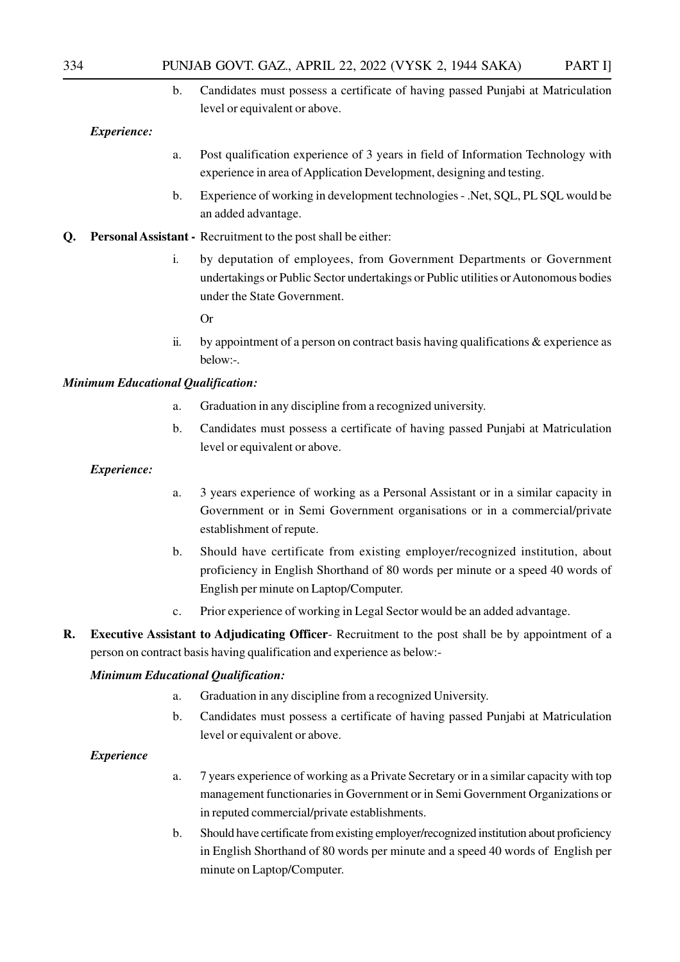b. Candidates must possess a certificate of having passed Punjabi at Matriculation level or equivalent or above.

*Experience:*

- a. Post qualification experience of 3 years in field of Information Technology with experience in area of Application Development, designing and testing.
- b. Experience of working in development technologies .Net, SQL, PL SQL would be an added advantage.
- **Q. Personal Assistant -** Recruitment to the post shall be either:
	- i. by deputation of employees, from Government Departments or Government undertakings or Public Sector undertakings or Public utilities or Autonomous bodies under the State Government.

Or

ii. by appointment of a person on contract basis having qualifications  $\&$  experience as below:-.

#### *Minimum Educational Qualification:*

- a. Graduation in any discipline from a recognized university.
- b. Candidates must possess a certificate of having passed Punjabi at Matriculation level or equivalent or above.

#### *Experience:*

- a. 3 years experience of working as a Personal Assistant or in a similar capacity in Government or in Semi Government organisations or in a commercial/private establishment of repute.
- b. Should have certificate from existing employer/recognized institution, about proficiency in English Shorthand of 80 words per minute or a speed 40 words of English per minute on Laptop/Computer.
- c. Prior experience of working in Legal Sector would be an added advantage.
- **R. Executive Assistant to Adjudicating Officer** Recruitment to the post shall be by appointment of a person on contract basis having qualification and experience as below:-

#### *Minimum Educational Qualification:*

- a. Graduation in any discipline from a recognized University.
- b. Candidates must possess a certificate of having passed Punjabi at Matriculation level or equivalent or above.

#### *Experience*

- a. 7 years experience of working as a Private Secretary or in a similar capacity with top management functionaries in Government or in Semi Government Organizations or in reputed commercial/private establishments.
- b. Should have certificate from existing employer/recognized institution about proficiency in English Shorthand of 80 words per minute and a speed 40 words of English per minute on Laptop/Computer.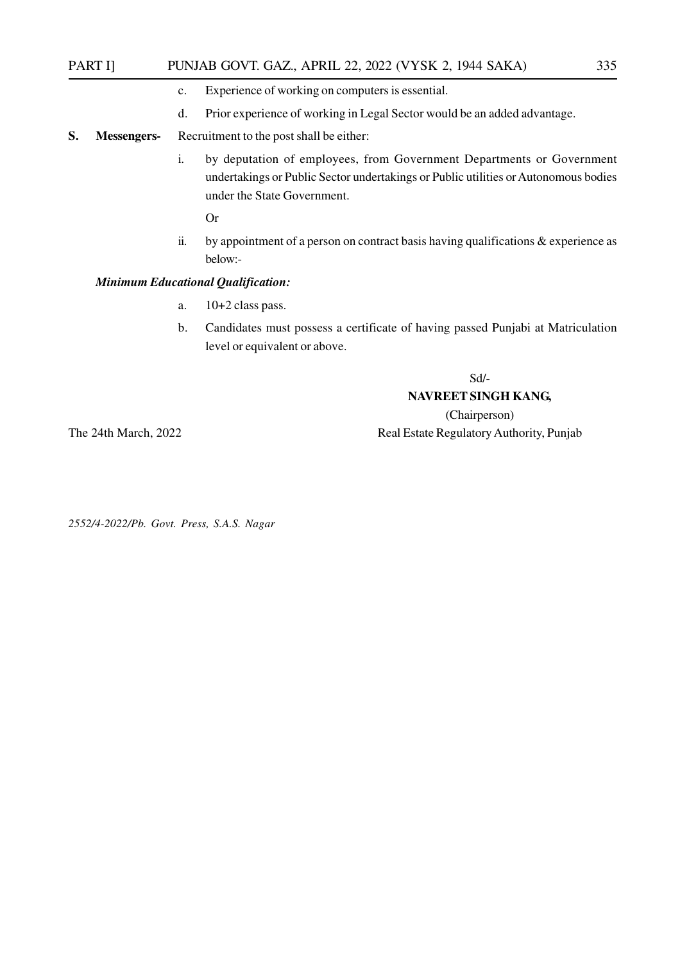#### PART I] PUNJAB GOVT. GAZ., APRIL 22, 2022 (VYSK 2, 1944 SAKA) 335

- c. Experience of working on computers is essential.
- d. Prior experience of working in Legal Sector would be an added advantage.
- **S. Messengers-** Recruitment to the post shall be either:
	- i. by deputation of employees, from Government Departments or Government undertakings or Public Sector undertakings or Public utilities or Autonomous bodies under the State Government.

Or

ii. by appointment of a person on contract basis having qualifications & experience as below:-

#### *Minimum Educational Qualification:*

- a. 10+2 class pass.
- b. Candidates must possess a certificate of having passed Punjabi at Matriculation level or equivalent or above.

Sd/-

#### **NAVREET SINGH KANG,**

(Chairperson) The 24th March, 2022 Real Estate Regulatory Authority, Punjab

*2552/4-2022/Pb. Govt. Press, S.A.S. Nagar*